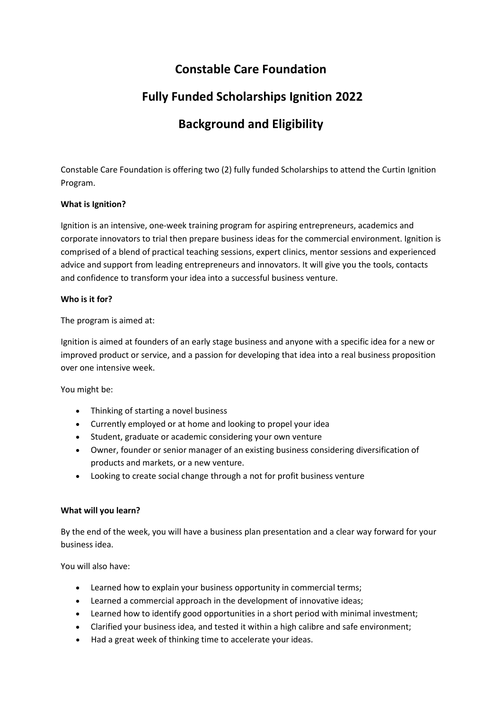### **Constable Care Foundation**

# **Fully Funded Scholarships Ignition 2022**

# **Background and Eligibility**

Constable Care Foundation is offering two (2) fully funded Scholarships to attend the Curtin Ignition Program.

### **What is Ignition?**

Ignition is an intensive, one-week training program for aspiring entrepreneurs, academics and corporate innovators to trial then prepare business ideas for the commercial environment. Ignition is comprised of a blend of practical teaching sessions, expert clinics, mentor sessions and experienced advice and support from leading entrepreneurs and innovators. It will give you the tools, contacts and confidence to transform your idea into a successful business venture.

### **Who is it for?**

The program is aimed at:

Ignition is aimed at founders of an early stage business and anyone with a specific idea for a new or improved product or service, and a passion for developing that idea into a real business proposition over one intensive week.

You might be:

- Thinking of starting a novel business
- Currently employed or at home and looking to propel your idea
- Student, graduate or academic considering your own venture
- Owner, founder or senior manager of an existing business considering diversification of products and markets, or a new venture.
- Looking to create social change through a not for profit business venture

### **What will you learn?**

By the end of the week, you will have a business plan presentation and a clear way forward for your business idea.

You will also have:

- Learned how to explain your business opportunity in commercial terms;
- Learned a commercial approach in the development of innovative ideas;
- Learned how to identify good opportunities in a short period with minimal investment;
- Clarified your business idea, and tested it within a high calibre and safe environment;
- Had a great week of thinking time to accelerate your ideas.